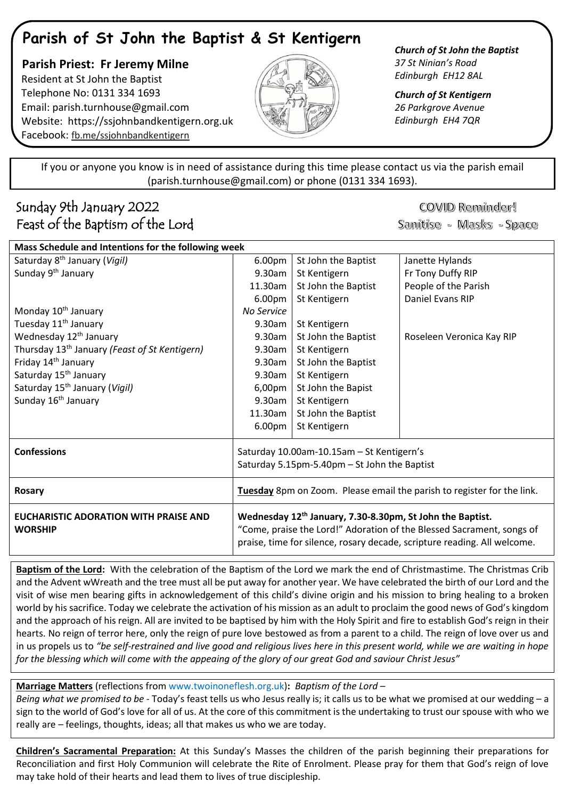# **Parish of St John the Baptist & St Kentigern**

 **Parish Priest: Fr Jeremy Milne** Resident at St John the Baptist Telephone No: 0131 334 1693 Email: [parish.turnhouse@gmail.com](mailto:parish.turnhouse@gmail.com)  Website: [https://ssjohnbandkentigern.org.uk](https://ssjohnbandkentigern.org.uk/) Facebook: [fb.me/ssjohnbandkentigern](https://fb.me/ssjohnbandkentigern)



*Church of St Kentigern 26 Parkgrove Avenue Edinburgh EH4 7QR*

֡֡֡֡֡ If you or anyone you know is in need of assistance during this time please contact us via the parish email (parish.turnhouse@gmail.com) or phone (0131 334 1693). I

## Sunday 9th January 2022 Feast of the Baptism of the Lord

COVID Reminder!

Sanitise - Masks - Space

| Mass Schedule and Intentions for the following week            |                                                                                                                                                                                                                            |                     |                           |
|----------------------------------------------------------------|----------------------------------------------------------------------------------------------------------------------------------------------------------------------------------------------------------------------------|---------------------|---------------------------|
| Saturday 8 <sup>th</sup> January (Vigil)                       | 6.00pm                                                                                                                                                                                                                     | St John the Baptist | Janette Hylands           |
| Sunday 9 <sup>th</sup> January                                 | 9.30am                                                                                                                                                                                                                     | St Kentigern        | Fr Tony Duffy RIP         |
|                                                                | 11.30am                                                                                                                                                                                                                    | St John the Baptist | People of the Parish      |
|                                                                | 6.00pm                                                                                                                                                                                                                     | St Kentigern        | Daniel Evans RIP          |
| Monday 10 <sup>th</sup> January                                | No Service                                                                                                                                                                                                                 |                     |                           |
| Tuesday 11 <sup>th</sup> January                               | 9.30am                                                                                                                                                                                                                     | St Kentigern        |                           |
| Wednesday 12 <sup>th</sup> January                             | 9.30am                                                                                                                                                                                                                     | St John the Baptist | Roseleen Veronica Kay RIP |
| Thursday 13 <sup>th</sup> January (Feast of St Kentigern)      | 9.30am                                                                                                                                                                                                                     | St Kentigern        |                           |
| Friday 14 <sup>th</sup> January                                | 9.30am                                                                                                                                                                                                                     | St John the Baptist |                           |
| Saturday 15 <sup>th</sup> January                              | 9.30am                                                                                                                                                                                                                     | St Kentigern        |                           |
| Saturday 15 <sup>th</sup> January (Vigil)                      | 6,00pm                                                                                                                                                                                                                     | St John the Bapist  |                           |
| Sunday 16 <sup>th</sup> January                                | 9.30am                                                                                                                                                                                                                     | St Kentigern        |                           |
|                                                                | 11.30am                                                                                                                                                                                                                    | St John the Baptist |                           |
|                                                                | 6.00pm                                                                                                                                                                                                                     | St Kentigern        |                           |
| <b>Confessions</b>                                             | Saturday 10.00am-10.15am - St Kentigern's                                                                                                                                                                                  |                     |                           |
|                                                                | Saturday 5.15pm-5.40pm - St John the Baptist                                                                                                                                                                               |                     |                           |
| <b>Rosary</b>                                                  | Tuesday 8pm on Zoom. Please email the parish to register for the link.                                                                                                                                                     |                     |                           |
| <b>EUCHARISTIC ADORATION WITH PRAISE AND</b><br><b>WORSHIP</b> | Wednesday 12 <sup>th</sup> January, 7.30-8.30pm, St John the Baptist.<br>"Come, praise the Lord!" Adoration of the Blessed Sacrament, songs of<br>praise, time for silence, rosary decade, scripture reading. All welcome. |                     |                           |

**Baptism of the Lord:** With the celebration of the Baptism of the Lord we mark the end of Christmastime. The Christmas Crib and the Advent wWreath and the tree must all be put away for another year. We have celebrated the birth of our Lord and the visit of wise men bearing gifts in acknowledgement of this child's divine origin and his mission to bring healing to a broken world by his sacrifice. Today we celebrate the activation of his mission as an adult to proclaim the good news of God's kingdom and the approach of his reign. All are invited to be baptised by him with the Holy Spirit and fire to establish God's reign in their hearts. No reign of terror here, only the reign of pure love bestowed as from a parent to a child. The reign of love over us and in us propels us to *"be self-restrained and live good and religious lives here in this present world, while we are waiting in hope for the blessing which will come with the appeaing of the glory of our great God and saviour Christ Jesus"*

**Marriage Matters** (reflections fro[m www.twoinoneflesh.org.uk\)](https://d.docs.live.net/f73d0dbfde17d20a/Documents/Church%202020/Newsletter/November/www.twoinoneflesh.org.uk)**:** *Baptism of the Lord* –

*Being what we promised to be* - Today's feast tells us who Jesus really is; it calls us to be what we promised at our wedding – a sign to the world of God's love for all of us. At the core of this commitment is the undertaking to trust our spouse with who we really are – feelings, thoughts, ideas; all that makes us who we are today.

**Children's Sacramental Preparation:** At this Sunday's Masses the children of the parish beginning their preparations for Reconciliation and first Holy Communion will celebrate the Rite of Enrolment. Please pray for them that God's reign of love may take hold of their hearts and lead them to lives of true discipleship.